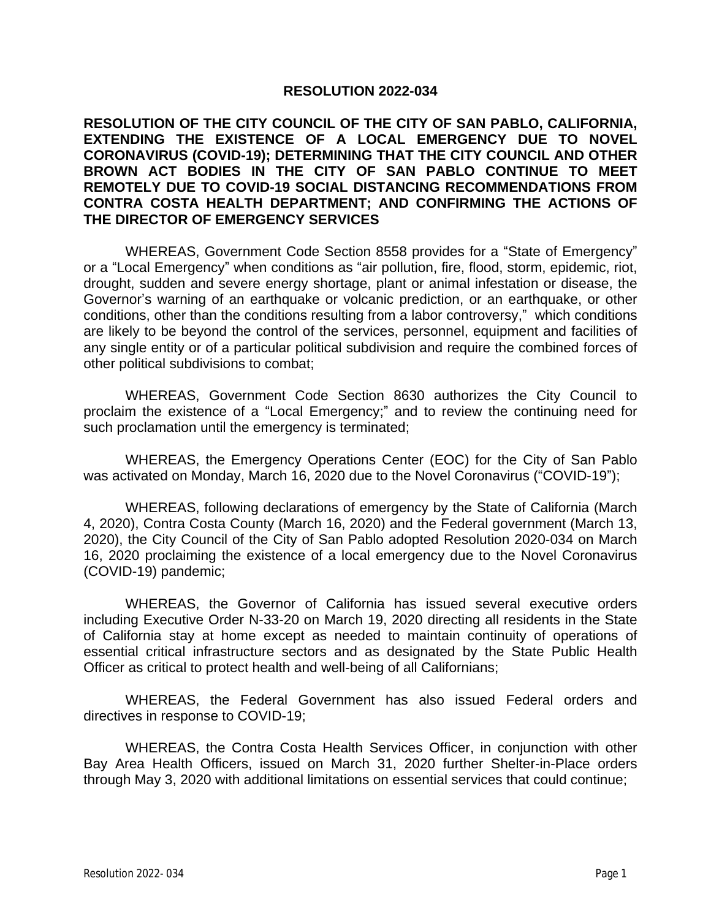## **RESOLUTION 2022-034**

**RESOLUTION OF THE CITY COUNCIL OF THE CITY OF SAN PABLO, CALIFORNIA, EXTENDING THE EXISTENCE OF A LOCAL EMERGENCY DUE TO NOVEL CORONAVIRUS (COVID-19); DETERMINING THAT THE CITY COUNCIL AND OTHER BROWN ACT BODIES IN THE CITY OF SAN PABLO CONTINUE TO MEET REMOTELY DUE TO COVID-19 SOCIAL DISTANCING RECOMMENDATIONS FROM CONTRA COSTA HEALTH DEPARTMENT; AND CONFIRMING THE ACTIONS OF THE DIRECTOR OF EMERGENCY SERVICES**

WHEREAS, Government Code Section 8558 provides for a "State of Emergency" or a "Local Emergency" when conditions as "air pollution, fire, flood, storm, epidemic, riot, drought, sudden and severe energy shortage, plant or animal infestation or disease, the Governor's warning of an earthquake or volcanic prediction, or an earthquake, or other conditions, other than the conditions resulting from a labor controversy," which conditions are likely to be beyond the control of the services, personnel, equipment and facilities of any single entity or of a particular political subdivision and require the combined forces of other political subdivisions to combat;

WHEREAS, Government Code Section 8630 authorizes the City Council to proclaim the existence of a "Local Emergency;" and to review the continuing need for such proclamation until the emergency is terminated;

WHEREAS, the Emergency Operations Center (EOC) for the City of San Pablo was activated on Monday, March 16, 2020 due to the Novel Coronavirus ("COVID-19");

WHEREAS, following declarations of emergency by the State of California (March 4, 2020), Contra Costa County (March 16, 2020) and the Federal government (March 13, 2020), the City Council of the City of San Pablo adopted Resolution 2020-034 on March 16, 2020 proclaiming the existence of a local emergency due to the Novel Coronavirus (COVID-19) pandemic;

WHEREAS, the Governor of California has issued several executive orders including Executive Order N-33-20 on March 19, 2020 directing all residents in the State of California stay at home except as needed to maintain continuity of operations of essential critical infrastructure sectors and as designated by the State Public Health Officer as critical to protect health and well-being of all Californians;

WHEREAS, the Federal Government has also issued Federal orders and directives in response to COVID-19;

WHEREAS, the Contra Costa Health Services Officer, in conjunction with other Bay Area Health Officers, issued on March 31, 2020 further Shelter-in-Place orders through May 3, 2020 with additional limitations on essential services that could continue;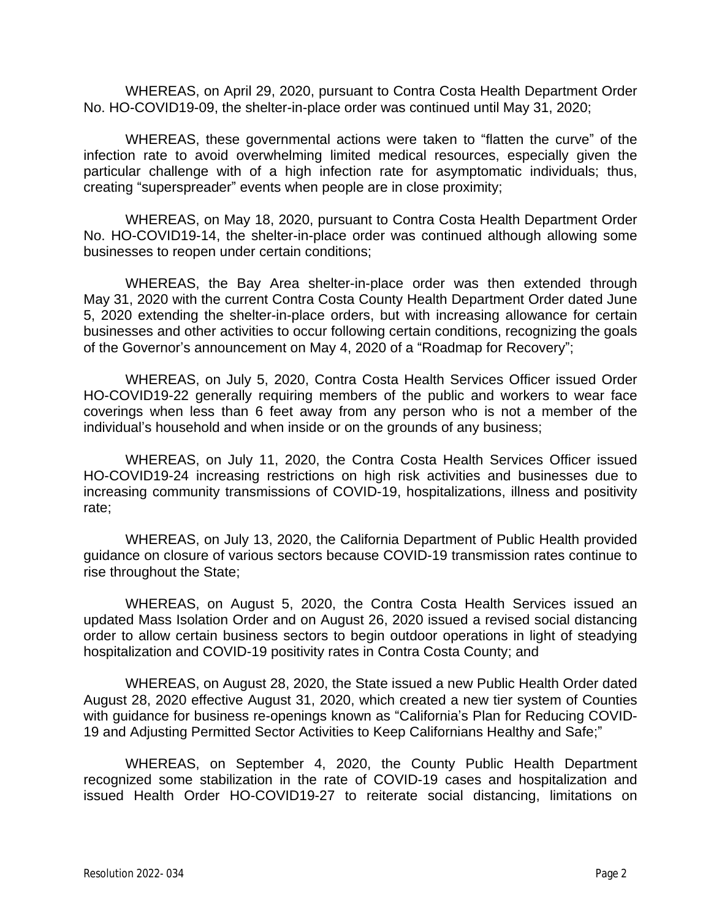WHEREAS, on April 29, 2020, pursuant to Contra Costa Health Department Order No. HO-COVID19-09, the shelter-in-place order was continued until May 31, 2020;

WHEREAS, these governmental actions were taken to "flatten the curve" of the infection rate to avoid overwhelming limited medical resources, especially given the particular challenge with of a high infection rate for asymptomatic individuals; thus, creating "superspreader" events when people are in close proximity;

WHEREAS, on May 18, 2020, pursuant to Contra Costa Health Department Order No. HO-COVID19-14, the shelter-in-place order was continued although allowing some businesses to reopen under certain conditions;

WHEREAS, the Bay Area shelter-in-place order was then extended through May 31, 2020 with the current Contra Costa County Health Department Order dated June 5, 2020 extending the shelter-in-place orders, but with increasing allowance for certain businesses and other activities to occur following certain conditions, recognizing the goals of the Governor's announcement on May 4, 2020 of a "Roadmap for Recovery";

WHEREAS, on July 5, 2020, Contra Costa Health Services Officer issued Order HO-COVID19-22 generally requiring members of the public and workers to wear face coverings when less than 6 feet away from any person who is not a member of the individual's household and when inside or on the grounds of any business;

WHEREAS, on July 11, 2020, the Contra Costa Health Services Officer issued HO-COVID19-24 increasing restrictions on high risk activities and businesses due to increasing community transmissions of COVID-19, hospitalizations, illness and positivity rate;

WHEREAS, on July 13, 2020, the California Department of Public Health provided guidance on closure of various sectors because COVID-19 transmission rates continue to rise throughout the State;

WHEREAS, on August 5, 2020, the Contra Costa Health Services issued an updated Mass Isolation Order and on August 26, 2020 issued a revised social distancing order to allow certain business sectors to begin outdoor operations in light of steadying hospitalization and COVID-19 positivity rates in Contra Costa County; and

WHEREAS, on August 28, 2020, the State issued a new Public Health Order dated August 28, 2020 effective August 31, 2020, which created a new tier system of Counties with guidance for business re-openings known as "California's Plan for Reducing COVID-19 and Adjusting Permitted Sector Activities to Keep Californians Healthy and Safe;"

WHEREAS, on September 4, 2020, the County Public Health Department recognized some stabilization in the rate of COVID-19 cases and hospitalization and issued Health Order HO-COVID19-27 to reiterate social distancing, limitations on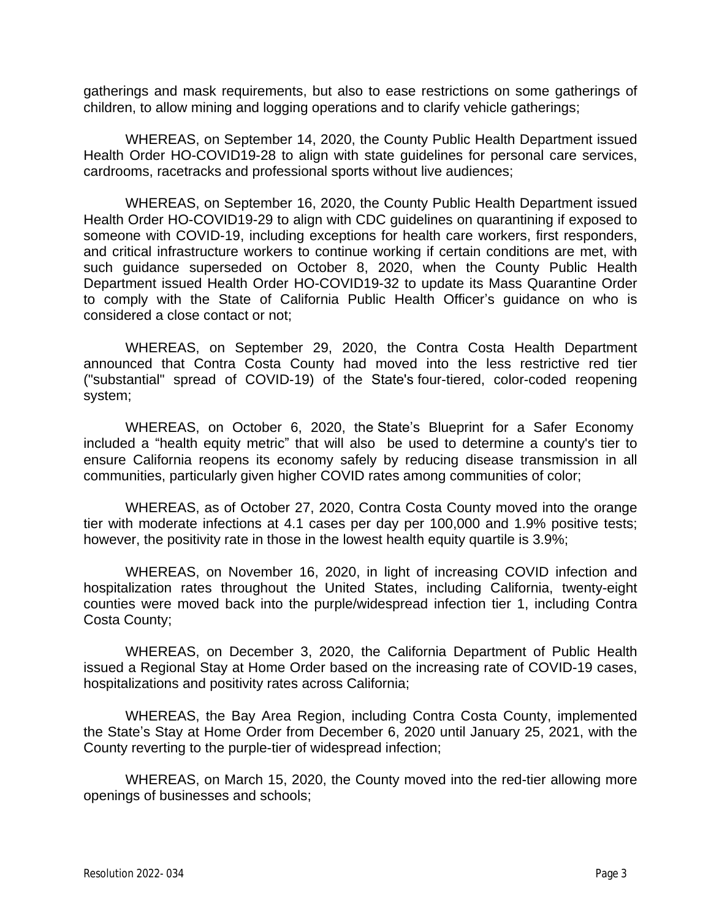gatherings and mask requirements, but also to ease restrictions on some gatherings of children, to allow mining and logging operations and to clarify vehicle gatherings;

WHEREAS, on September 14, 2020, the County Public Health Department issued Health Order HO-COVID19-28 to align with state guidelines for personal care services, cardrooms, racetracks and professional sports without live audiences;

WHEREAS, on September 16, 2020, the County Public Health Department issued Health Order HO-COVID19-29 to align with CDC guidelines on quarantining if exposed to someone with COVID-19, including exceptions for health care workers, first responders, and critical infrastructure workers to continue working if certain conditions are met, with such guidance superseded on October 8, 2020, when the County Public Health Department issued Health Order HO-COVID19-32 to update its Mass Quarantine Order to comply with the State of California Public Health Officer's guidance on who is considered a close contact or not;

WHEREAS, on September 29, 2020, the Contra Costa Health Department announced that Contra Costa County had moved into the less restrictive red tier ("substantial" spread of COVID-19) of the State's four-tiered, [color-coded](https://covid19.ca.gov/safer-economy/) reopening system;

WHEREAS, on October 6, 2020, the State's Blueprint for a Safer [Economy](https://www.cdph.ca.gov/Programs/CID/DCDC/Pages/COVID-19/COVID19CountyMonitoringOverview.aspx) included a "health equity metric" that will also be used to determine a county's tier to ensure California reopens its economy safely by reducing disease transmission in all communities, particularly given higher COVID rates among communities of color;

WHEREAS, as of October 27, 2020, Contra Costa County moved into the orange tier with moderate infections at 4.1 cases per day per 100,000 and 1.9% positive tests; however, the positivity rate in those in the lowest health equity quartile is 3.9%;

WHEREAS, on November 16, 2020, in light of increasing COVID infection and hospitalization rates throughout the United States, including California, twenty-eight counties were moved back into the purple/widespread infection tier 1, including Contra Costa County;

WHEREAS, on December 3, 2020, the California Department of Public Health issued a Regional Stay at Home Order based on the increasing rate of COVID-19 cases, hospitalizations and positivity rates across California;

WHEREAS, the Bay Area Region, including Contra Costa County, implemented the State's Stay at Home Order from December 6, 2020 until January 25, 2021, with the County reverting to the purple-tier of widespread infection;

WHEREAS, on March 15, 2020, the County moved into the red-tier allowing more openings of businesses and schools;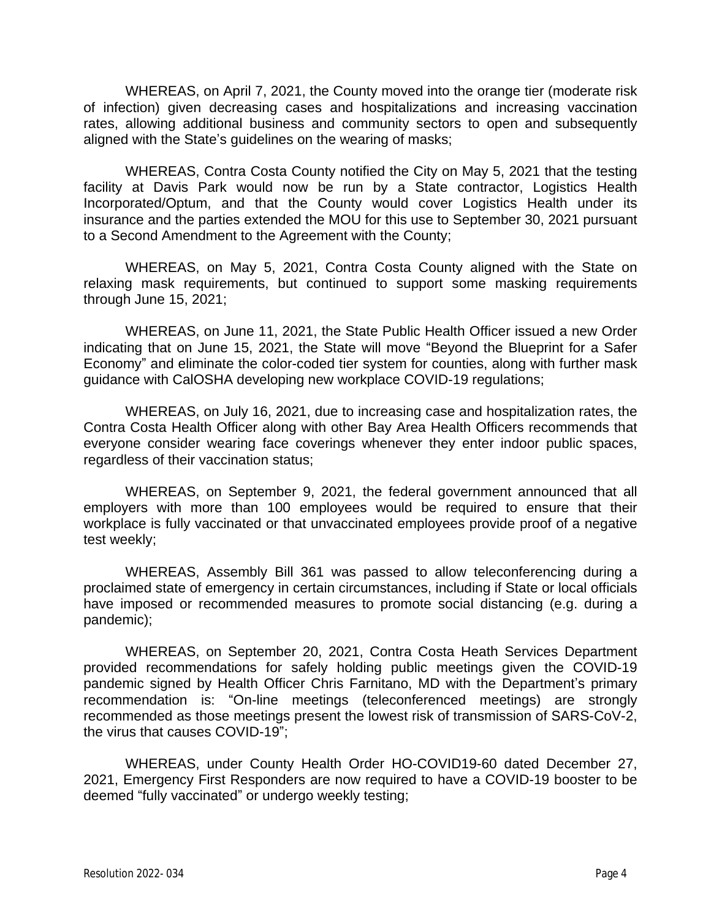WHEREAS, on April 7, 2021, the County moved into the orange tier (moderate risk of infection) given decreasing cases and hospitalizations and increasing vaccination rates, allowing additional business and community sectors to open and subsequently aligned with the State's guidelines on the wearing of masks;

WHEREAS, Contra Costa County notified the City on May 5, 2021 that the testing facility at Davis Park would now be run by a State contractor, Logistics Health Incorporated/Optum, and that the County would cover Logistics Health under its insurance and the parties extended the MOU for this use to September 30, 2021 pursuant to a Second Amendment to the Agreement with the County;

WHEREAS, on May 5, 2021, Contra Costa County aligned with the State on relaxing mask requirements, but continued to support some masking requirements through June 15, 2021;

WHEREAS, on June 11, 2021, the State Public Health Officer issued a new Order indicating that on June 15, 2021, the State will move "Beyond the Blueprint for a Safer Economy" and eliminate the color-coded tier system for counties, along with further mask guidance with CalOSHA developing new workplace COVID-19 regulations;

WHEREAS, on July 16, 2021, due to increasing case and hospitalization rates, the Contra Costa Health Officer along with other Bay Area Health Officers recommends that everyone consider wearing face coverings whenever they enter indoor public spaces, regardless of their vaccination status;

WHEREAS, on September 9, 2021, the federal government announced that all employers with more than 100 employees would be required to ensure that their workplace is fully vaccinated or that unvaccinated employees provide proof of a negative test weekly;

WHEREAS, Assembly Bill 361 was passed to allow teleconferencing during a proclaimed state of emergency in certain circumstances, including if State or local officials have imposed or recommended measures to promote social distancing (e.g. during a pandemic);

WHEREAS, on September 20, 2021, Contra Costa Heath Services Department provided recommendations for safely holding public meetings given the COVID-19 pandemic signed by Health Officer Chris Farnitano, MD with the Department's primary recommendation is: "On-line meetings (teleconferenced meetings) are strongly recommended as those meetings present the lowest risk of transmission of SARS-CoV-2, the virus that causes COVID-19";

WHEREAS, under County Health Order HO-COVID19-60 dated December 27, 2021, Emergency First Responders are now required to have a COVID-19 booster to be deemed "fully vaccinated" or undergo weekly testing;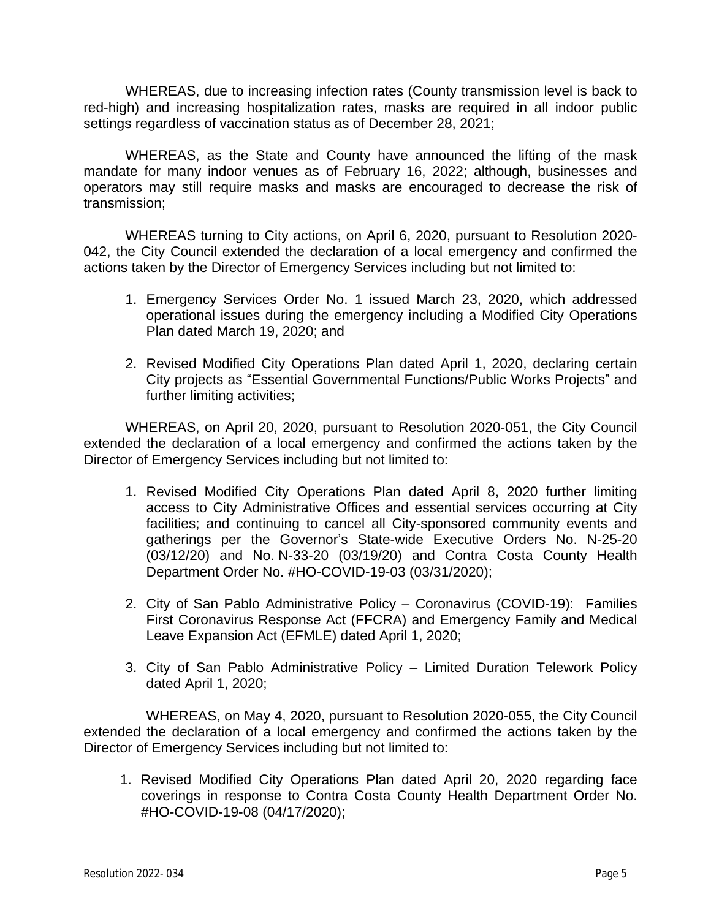WHEREAS, due to increasing infection rates (County transmission level is back to red-high) and increasing hospitalization rates, masks are required in all indoor public settings regardless of vaccination status as of December 28, 2021;

WHEREAS, as the State and County have announced the lifting of the mask mandate for many indoor venues as of February 16, 2022; although, businesses and operators may still require masks and masks are encouraged to decrease the risk of transmission;

WHEREAS turning to City actions, on April 6, 2020, pursuant to Resolution 2020- 042, the City Council extended the declaration of a local emergency and confirmed the actions taken by the Director of Emergency Services including but not limited to:

- 1. Emergency Services Order No. 1 issued March 23, 2020, which addressed operational issues during the emergency including a Modified City Operations Plan dated March 19, 2020; and
- 2. Revised Modified City Operations Plan dated April 1, 2020, declaring certain City projects as "Essential Governmental Functions/Public Works Projects" and further limiting activities;

WHEREAS, on April 20, 2020, pursuant to Resolution 2020-051, the City Council extended the declaration of a local emergency and confirmed the actions taken by the Director of Emergency Services including but not limited to:

- 1. Revised Modified City Operations Plan dated April 8, 2020 further limiting access to City Administrative Offices and essential services occurring at City facilities; and continuing to cancel all City-sponsored community events and gatherings per the Governor's State-wide Executive Orders No. N-25-20 (03/12/20) and No. N-33-20 (03/19/20) and Contra Costa County Health Department Order No. #HO-COVID-19-03 (03/31/2020);
- 2. City of San Pablo Administrative Policy Coronavirus (COVID-19): Families First Coronavirus Response Act (FFCRA) and Emergency Family and Medical Leave Expansion Act (EFMLE) dated April 1, 2020;
- 3. City of San Pablo Administrative Policy Limited Duration Telework Policy dated April 1, 2020;

WHEREAS, on May 4, 2020, pursuant to Resolution 2020-055, the City Council extended the declaration of a local emergency and confirmed the actions taken by the Director of Emergency Services including but not limited to:

1. Revised Modified City Operations Plan dated April 20, 2020 regarding face coverings in response to Contra Costa County Health Department Order No. #HO-COVID-19-08 (04/17/2020);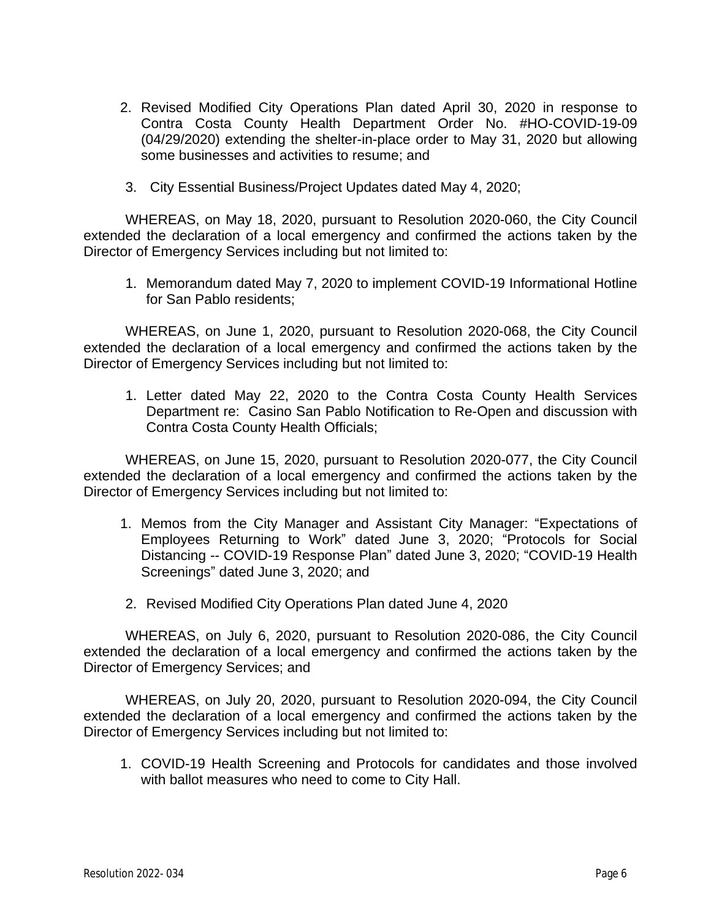- 2. Revised Modified City Operations Plan dated April 30, 2020 in response to Contra Costa County Health Department Order No. #HO-COVID-19-09 (04/29/2020) extending the shelter-in-place order to May 31, 2020 but allowing some businesses and activities to resume; and
- 3. City Essential Business/Project Updates dated May 4, 2020;

WHEREAS, on May 18, 2020, pursuant to Resolution 2020-060, the City Council extended the declaration of a local emergency and confirmed the actions taken by the Director of Emergency Services including but not limited to:

1. Memorandum dated May 7, 2020 to implement COVID-19 Informational Hotline for San Pablo residents;

WHEREAS, on June 1, 2020, pursuant to Resolution 2020-068, the City Council extended the declaration of a local emergency and confirmed the actions taken by the Director of Emergency Services including but not limited to:

1. Letter dated May 22, 2020 to the Contra Costa County Health Services Department re: Casino San Pablo Notification to Re-Open and discussion with Contra Costa County Health Officials;

WHEREAS, on June 15, 2020, pursuant to Resolution 2020-077, the City Council extended the declaration of a local emergency and confirmed the actions taken by the Director of Emergency Services including but not limited to:

- 1. Memos from the City Manager and Assistant City Manager: "Expectations of Employees Returning to Work" dated June 3, 2020; "Protocols for Social Distancing -- COVID-19 Response Plan" dated June 3, 2020; "COVID-19 Health Screenings" dated June 3, 2020; and
- 2. Revised Modified City Operations Plan dated June 4, 2020

WHEREAS, on July 6, 2020, pursuant to Resolution 2020-086, the City Council extended the declaration of a local emergency and confirmed the actions taken by the Director of Emergency Services; and

WHEREAS, on July 20, 2020, pursuant to Resolution 2020-094, the City Council extended the declaration of a local emergency and confirmed the actions taken by the Director of Emergency Services including but not limited to:

1. COVID-19 Health Screening and Protocols for candidates and those involved with ballot measures who need to come to City Hall.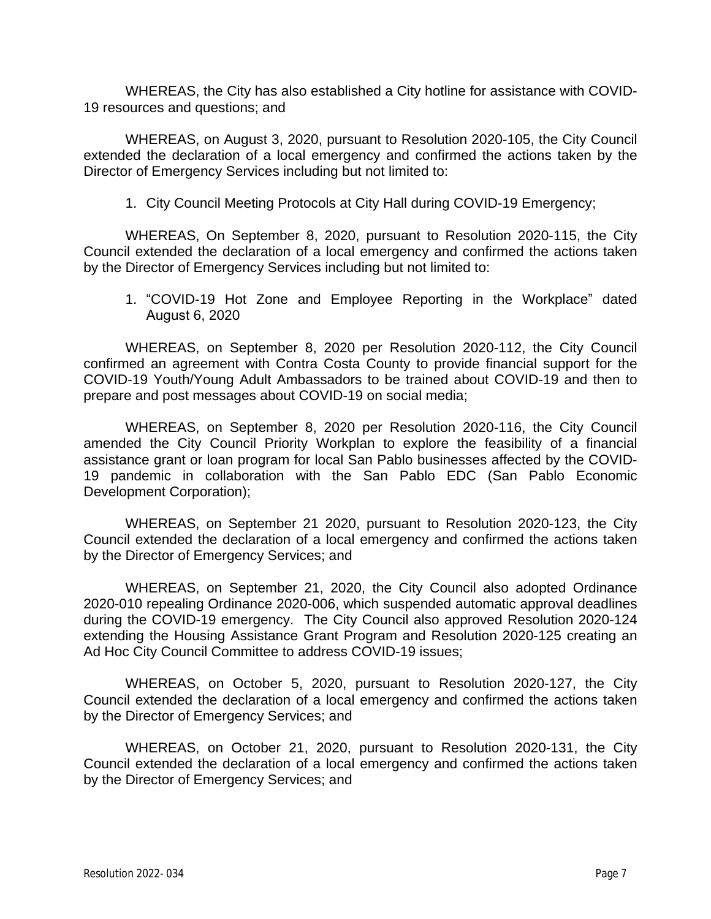WHEREAS, the City has also established a City hotline for assistance with COVID-19 resources and questions; and

WHEREAS, on August 3, 2020, pursuant to Resolution 2020-105, the City Council extended the declaration of a local emergency and confirmed the actions taken by the Director of Emergency Services including but not limited to:

1. City Council Meeting Protocols at City Hall during COVID-19 Emergency;

WHEREAS, On September 8, 2020, pursuant to Resolution 2020-115, the City Council extended the declaration of a local emergency and confirmed the actions taken by the Director of Emergency Services including but not limited to:

1. "COVID-19 Hot Zone and Employee Reporting in the Workplace" dated August 6, 2020

WHEREAS, on September 8, 2020 per Resolution 2020-112, the City Council confirmed an agreement with Contra Costa County to provide financial support for the COVID-19 Youth/Young Adult Ambassadors to be trained about COVID-19 and then to prepare and post messages about COVID-19 on social media;

WHEREAS, on September 8, 2020 per Resolution 2020-116, the City Council amended the City Council Priority Workplan to explore the feasibility of a financial assistance grant or loan program for local San Pablo businesses affected by the COVID-19 pandemic in collaboration with the San Pablo EDC (San Pablo Economic Development Corporation);

WHEREAS, on September 21 2020, pursuant to Resolution 2020-123, the City Council extended the declaration of a local emergency and confirmed the actions taken by the Director of Emergency Services; and

WHEREAS, on September 21, 2020, the City Council also adopted Ordinance 2020-010 repealing Ordinance 2020-006, which suspended automatic approval deadlines during the COVID-19 emergency. The City Council also approved Resolution 2020-124 extending the Housing Assistance Grant Program and Resolution 2020-125 creating an Ad Hoc City Council Committee to address COVID-19 issues;

WHEREAS, on October 5, 2020, pursuant to Resolution 2020-127, the City Council extended the declaration of a local emergency and confirmed the actions taken by the Director of Emergency Services; and

WHEREAS, on October 21, 2020, pursuant to Resolution 2020-131, the City Council extended the declaration of a local emergency and confirmed the actions taken by the Director of Emergency Services; and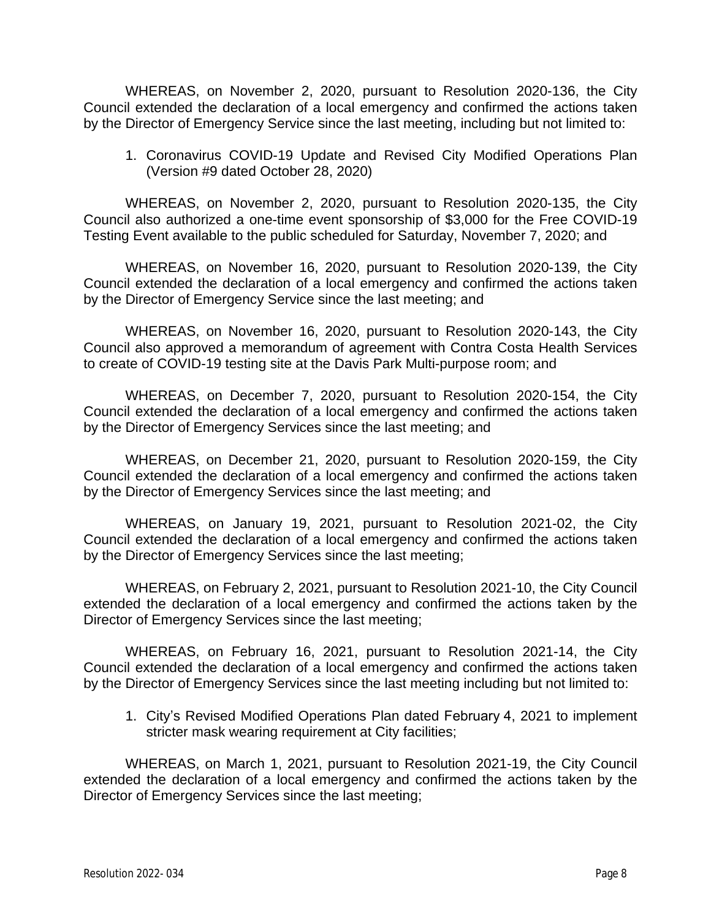WHEREAS, on November 2, 2020, pursuant to Resolution 2020-136, the City Council extended the declaration of a local emergency and confirmed the actions taken by the Director of Emergency Service since the last meeting, including but not limited to:

1. Coronavirus COVID-19 Update and Revised City Modified Operations Plan (Version #9 dated October 28, 2020)

WHEREAS, on November 2, 2020, pursuant to Resolution 2020-135, the City Council also authorized a one-time event sponsorship of \$3,000 for the Free COVID-19 Testing Event available to the public scheduled for Saturday, November 7, 2020; and

WHEREAS, on November 16, 2020, pursuant to Resolution 2020-139, the City Council extended the declaration of a local emergency and confirmed the actions taken by the Director of Emergency Service since the last meeting; and

WHEREAS, on November 16, 2020, pursuant to Resolution 2020-143, the City Council also approved a memorandum of agreement with Contra Costa Health Services to create of COVID-19 testing site at the Davis Park Multi-purpose room; and

WHEREAS, on December 7, 2020, pursuant to Resolution 2020-154, the City Council extended the declaration of a local emergency and confirmed the actions taken by the Director of Emergency Services since the last meeting; and

WHEREAS, on December 21, 2020, pursuant to Resolution 2020-159, the City Council extended the declaration of a local emergency and confirmed the actions taken by the Director of Emergency Services since the last meeting; and

WHEREAS, on January 19, 2021, pursuant to Resolution 2021-02, the City Council extended the declaration of a local emergency and confirmed the actions taken by the Director of Emergency Services since the last meeting;

WHEREAS, on February 2, 2021, pursuant to Resolution 2021-10, the City Council extended the declaration of a local emergency and confirmed the actions taken by the Director of Emergency Services since the last meeting;

WHEREAS, on February 16, 2021, pursuant to Resolution 2021-14, the City Council extended the declaration of a local emergency and confirmed the actions taken by the Director of Emergency Services since the last meeting including but not limited to:

1. City's Revised Modified Operations Plan dated February 4, 2021 to implement stricter mask wearing requirement at City facilities;

WHEREAS, on March 1, 2021, pursuant to Resolution 2021-19, the City Council extended the declaration of a local emergency and confirmed the actions taken by the Director of Emergency Services since the last meeting;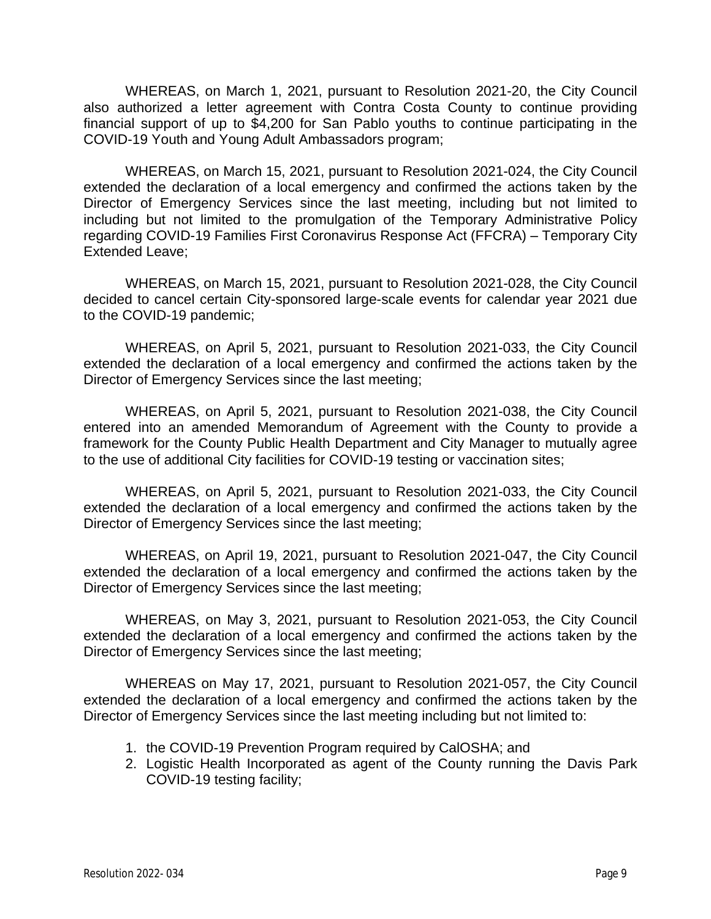WHEREAS, on March 1, 2021, pursuant to Resolution 2021-20, the City Council also authorized a letter agreement with Contra Costa County to continue providing financial support of up to \$4,200 for San Pablo youths to continue participating in the COVID-19 Youth and Young Adult Ambassadors program;

WHEREAS, on March 15, 2021, pursuant to Resolution 2021-024, the City Council extended the declaration of a local emergency and confirmed the actions taken by the Director of Emergency Services since the last meeting, including but not limited to including but not limited to the promulgation of the Temporary Administrative Policy regarding COVID-19 Families First Coronavirus Response Act (FFCRA) – Temporary City Extended Leave;

WHEREAS, on March 15, 2021, pursuant to Resolution 2021-028, the City Council decided to cancel certain City-sponsored large-scale events for calendar year 2021 due to the COVID-19 pandemic;

WHEREAS, on April 5, 2021, pursuant to Resolution 2021-033, the City Council extended the declaration of a local emergency and confirmed the actions taken by the Director of Emergency Services since the last meeting;

WHEREAS, on April 5, 2021, pursuant to Resolution 2021-038, the City Council entered into an amended Memorandum of Agreement with the County to provide a framework for the County Public Health Department and City Manager to mutually agree to the use of additional City facilities for COVID-19 testing or vaccination sites;

WHEREAS, on April 5, 2021, pursuant to Resolution 2021-033, the City Council extended the declaration of a local emergency and confirmed the actions taken by the Director of Emergency Services since the last meeting;

WHEREAS, on April 19, 2021, pursuant to Resolution 2021-047, the City Council extended the declaration of a local emergency and confirmed the actions taken by the Director of Emergency Services since the last meeting;

WHEREAS, on May 3, 2021, pursuant to Resolution 2021-053, the City Council extended the declaration of a local emergency and confirmed the actions taken by the Director of Emergency Services since the last meeting;

WHEREAS on May 17, 2021, pursuant to Resolution 2021-057, the City Council extended the declaration of a local emergency and confirmed the actions taken by the Director of Emergency Services since the last meeting including but not limited to:

- 1. the COVID-19 Prevention Program required by CalOSHA; and
- 2. Logistic Health Incorporated as agent of the County running the Davis Park COVID-19 testing facility;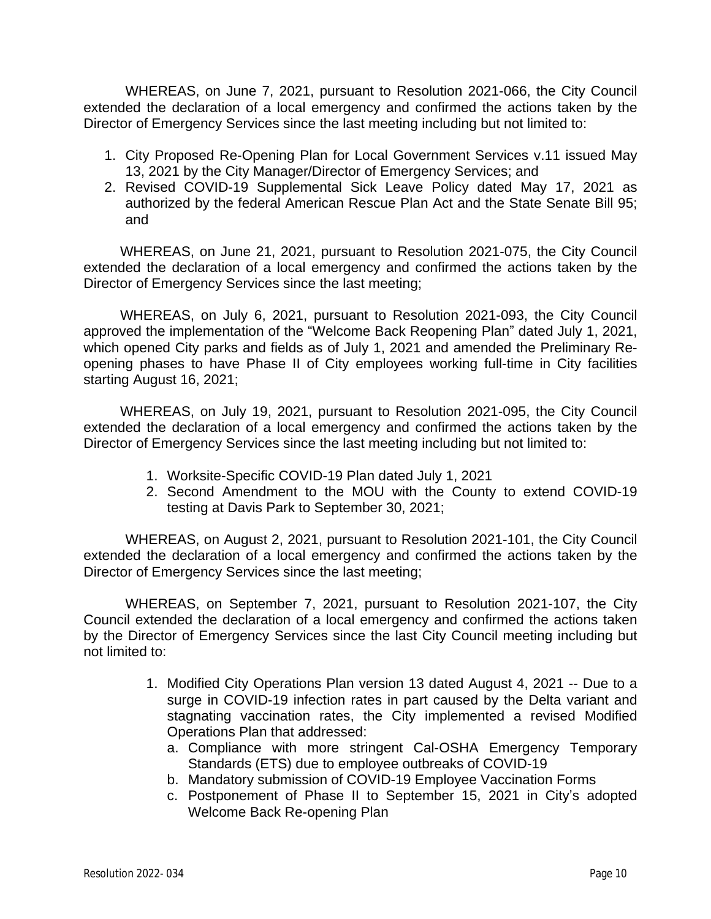WHEREAS, on June 7, 2021, pursuant to Resolution 2021-066, the City Council extended the declaration of a local emergency and confirmed the actions taken by the Director of Emergency Services since the last meeting including but not limited to:

- 1. City Proposed Re-Opening Plan for Local Government Services v.11 issued May 13, 2021 by the City Manager/Director of Emergency Services; and
- 2. Revised COVID-19 Supplemental Sick Leave Policy dated May 17, 2021 as authorized by the federal American Rescue Plan Act and the State Senate Bill 95; and

WHEREAS, on June 21, 2021, pursuant to Resolution 2021-075, the City Council extended the declaration of a local emergency and confirmed the actions taken by the Director of Emergency Services since the last meeting;

WHEREAS, on July 6, 2021, pursuant to Resolution 2021-093, the City Council approved the implementation of the "Welcome Back Reopening Plan" dated July 1, 2021, which opened City parks and fields as of July 1, 2021 and amended the Preliminary Reopening phases to have Phase II of City employees working full-time in City facilities starting August 16, 2021;

WHEREAS, on July 19, 2021, pursuant to Resolution 2021-095, the City Council extended the declaration of a local emergency and confirmed the actions taken by the Director of Emergency Services since the last meeting including but not limited to:

- 1. Worksite-Specific COVID-19 Plan dated July 1, 2021
- 2. Second Amendment to the MOU with the County to extend COVID-19 testing at Davis Park to September 30, 2021;

WHEREAS, on August 2, 2021, pursuant to Resolution 2021-101, the City Council extended the declaration of a local emergency and confirmed the actions taken by the Director of Emergency Services since the last meeting;

WHEREAS, on September 7, 2021, pursuant to Resolution 2021-107, the City Council extended the declaration of a local emergency and confirmed the actions taken by the Director of Emergency Services since the last City Council meeting including but not limited to:

- 1. Modified City Operations Plan version 13 dated August 4, 2021 -- Due to a surge in COVID-19 infection rates in part caused by the Delta variant and stagnating vaccination rates, the City implemented a revised Modified Operations Plan that addressed:
	- a. Compliance with more stringent Cal-OSHA Emergency Temporary Standards (ETS) due to employee outbreaks of COVID-19
	- b. Mandatory submission of COVID-19 Employee Vaccination Forms
	- c. Postponement of Phase II to September 15, 2021 in City's adopted Welcome Back Re-opening Plan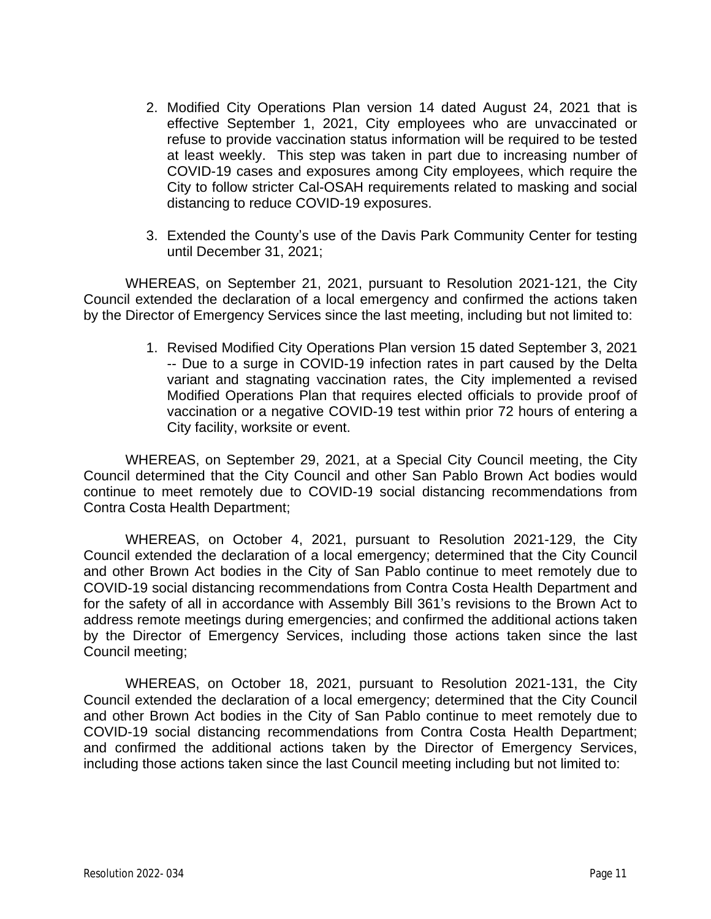- 2. Modified City Operations Plan version 14 dated August 24, 2021 that is effective September 1, 2021, City employees who are unvaccinated or refuse to provide vaccination status information will be required to be tested at least weekly. This step was taken in part due to increasing number of COVID-19 cases and exposures among City employees, which require the City to follow stricter Cal-OSAH requirements related to masking and social distancing to reduce COVID-19 exposures.
- 3. Extended the County's use of the Davis Park Community Center for testing until December 31, 2021;

WHEREAS, on September 21, 2021, pursuant to Resolution 2021-121, the City Council extended the declaration of a local emergency and confirmed the actions taken by the Director of Emergency Services since the last meeting, including but not limited to:

> 1. Revised Modified City Operations Plan version 15 dated September 3, 2021 -- Due to a surge in COVID-19 infection rates in part caused by the Delta variant and stagnating vaccination rates, the City implemented a revised Modified Operations Plan that requires elected officials to provide proof of vaccination or a negative COVID-19 test within prior 72 hours of entering a City facility, worksite or event.

WHEREAS, on September 29, 2021, at a Special City Council meeting, the City Council determined that the City Council and other San Pablo Brown Act bodies would continue to meet remotely due to COVID-19 social distancing recommendations from Contra Costa Health Department;

WHEREAS, on October 4, 2021, pursuant to Resolution 2021-129, the City Council extended the declaration of a local emergency; determined that the City Council and other Brown Act bodies in the City of San Pablo continue to meet remotely due to COVID-19 social distancing recommendations from Contra Costa Health Department and for the safety of all in accordance with Assembly Bill 361's revisions to the Brown Act to address remote meetings during emergencies; and confirmed the additional actions taken by the Director of Emergency Services, including those actions taken since the last Council meeting;

WHEREAS, on October 18, 2021, pursuant to Resolution 2021-131, the City Council extended the declaration of a local emergency; determined that the City Council and other Brown Act bodies in the City of San Pablo continue to meet remotely due to COVID-19 social distancing recommendations from Contra Costa Health Department; and confirmed the additional actions taken by the Director of Emergency Services, including those actions taken since the last Council meeting including but not limited to: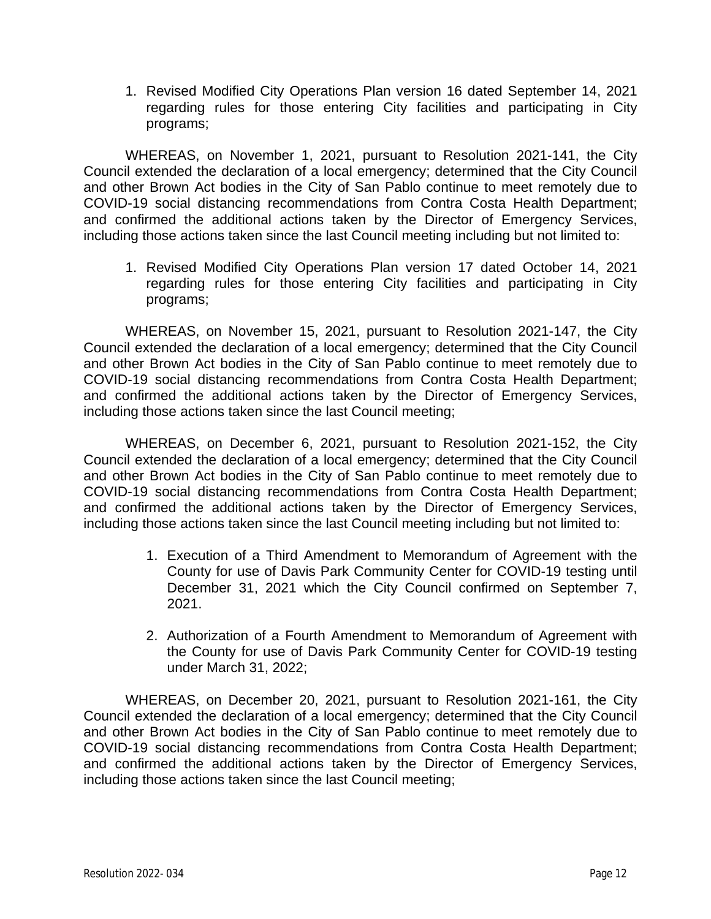1. Revised Modified City Operations Plan version 16 dated September 14, 2021 regarding rules for those entering City facilities and participating in City programs;

WHEREAS, on November 1, 2021, pursuant to Resolution 2021-141, the City Council extended the declaration of a local emergency; determined that the City Council and other Brown Act bodies in the City of San Pablo continue to meet remotely due to COVID-19 social distancing recommendations from Contra Costa Health Department; and confirmed the additional actions taken by the Director of Emergency Services, including those actions taken since the last Council meeting including but not limited to:

1. Revised Modified City Operations Plan version 17 dated October 14, 2021 regarding rules for those entering City facilities and participating in City programs;

WHEREAS, on November 15, 2021, pursuant to Resolution 2021-147, the City Council extended the declaration of a local emergency; determined that the City Council and other Brown Act bodies in the City of San Pablo continue to meet remotely due to COVID-19 social distancing recommendations from Contra Costa Health Department; and confirmed the additional actions taken by the Director of Emergency Services, including those actions taken since the last Council meeting;

WHEREAS, on December 6, 2021, pursuant to Resolution 2021-152, the City Council extended the declaration of a local emergency; determined that the City Council and other Brown Act bodies in the City of San Pablo continue to meet remotely due to COVID-19 social distancing recommendations from Contra Costa Health Department; and confirmed the additional actions taken by the Director of Emergency Services, including those actions taken since the last Council meeting including but not limited to:

- 1. Execution of a Third Amendment to Memorandum of Agreement with the County for use of Davis Park Community Center for COVID-19 testing until December 31, 2021 which the City Council confirmed on September 7, 2021.
- 2. Authorization of a Fourth Amendment to Memorandum of Agreement with the County for use of Davis Park Community Center for COVID-19 testing under March 31, 2022;

WHEREAS, on December 20, 2021, pursuant to Resolution 2021-161, the City Council extended the declaration of a local emergency; determined that the City Council and other Brown Act bodies in the City of San Pablo continue to meet remotely due to COVID-19 social distancing recommendations from Contra Costa Health Department; and confirmed the additional actions taken by the Director of Emergency Services, including those actions taken since the last Council meeting;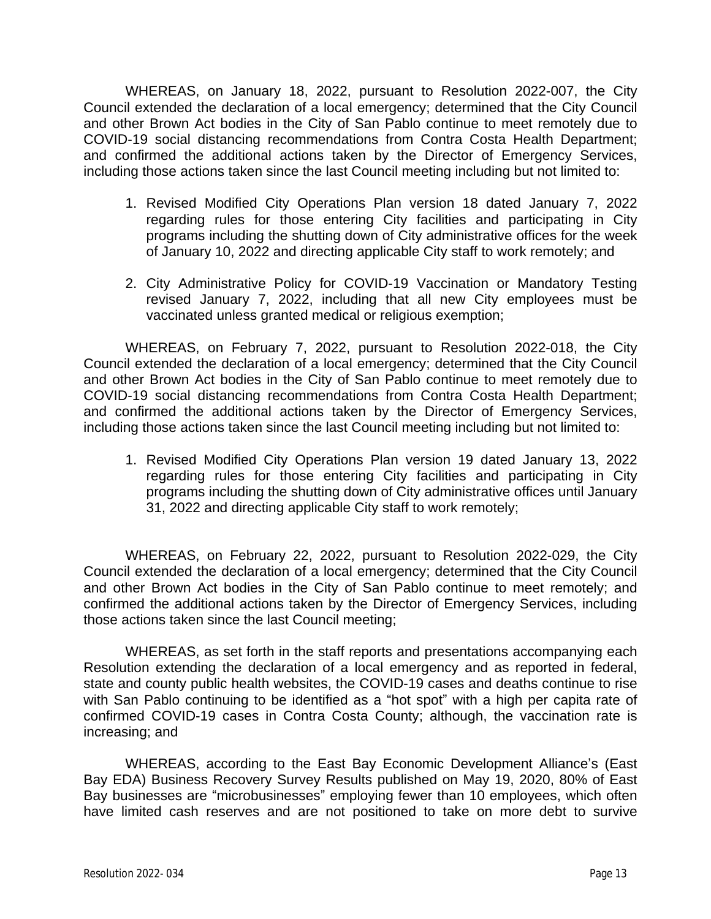WHEREAS, on January 18, 2022, pursuant to Resolution 2022-007, the City Council extended the declaration of a local emergency; determined that the City Council and other Brown Act bodies in the City of San Pablo continue to meet remotely due to COVID-19 social distancing recommendations from Contra Costa Health Department; and confirmed the additional actions taken by the Director of Emergency Services, including those actions taken since the last Council meeting including but not limited to:

- 1. Revised Modified City Operations Plan version 18 dated January 7, 2022 regarding rules for those entering City facilities and participating in City programs including the shutting down of City administrative offices for the week of January 10, 2022 and directing applicable City staff to work remotely; and
- 2. City Administrative Policy for COVID-19 Vaccination or Mandatory Testing revised January 7, 2022, including that all new City employees must be vaccinated unless granted medical or religious exemption;

WHEREAS, on February 7, 2022, pursuant to Resolution 2022-018, the City Council extended the declaration of a local emergency; determined that the City Council and other Brown Act bodies in the City of San Pablo continue to meet remotely due to COVID-19 social distancing recommendations from Contra Costa Health Department; and confirmed the additional actions taken by the Director of Emergency Services, including those actions taken since the last Council meeting including but not limited to:

1. Revised Modified City Operations Plan version 19 dated January 13, 2022 regarding rules for those entering City facilities and participating in City programs including the shutting down of City administrative offices until January 31, 2022 and directing applicable City staff to work remotely;

WHEREAS, on February 22, 2022, pursuant to Resolution 2022-029, the City Council extended the declaration of a local emergency; determined that the City Council and other Brown Act bodies in the City of San Pablo continue to meet remotely; and confirmed the additional actions taken by the Director of Emergency Services, including those actions taken since the last Council meeting;

WHEREAS, as set forth in the staff reports and presentations accompanying each Resolution extending the declaration of a local emergency and as reported in federal, state and county public health websites, the COVID-19 cases and deaths continue to rise with San Pablo continuing to be identified as a "hot spot" with a high per capita rate of confirmed COVID-19 cases in Contra Costa County; although, the vaccination rate is increasing; and

WHEREAS, according to the East Bay Economic Development Alliance's (East Bay EDA) Business Recovery Survey Results published on May 19, 2020, 80% of East Bay businesses are "microbusinesses" employing fewer than 10 employees, which often have limited cash reserves and are not positioned to take on more debt to survive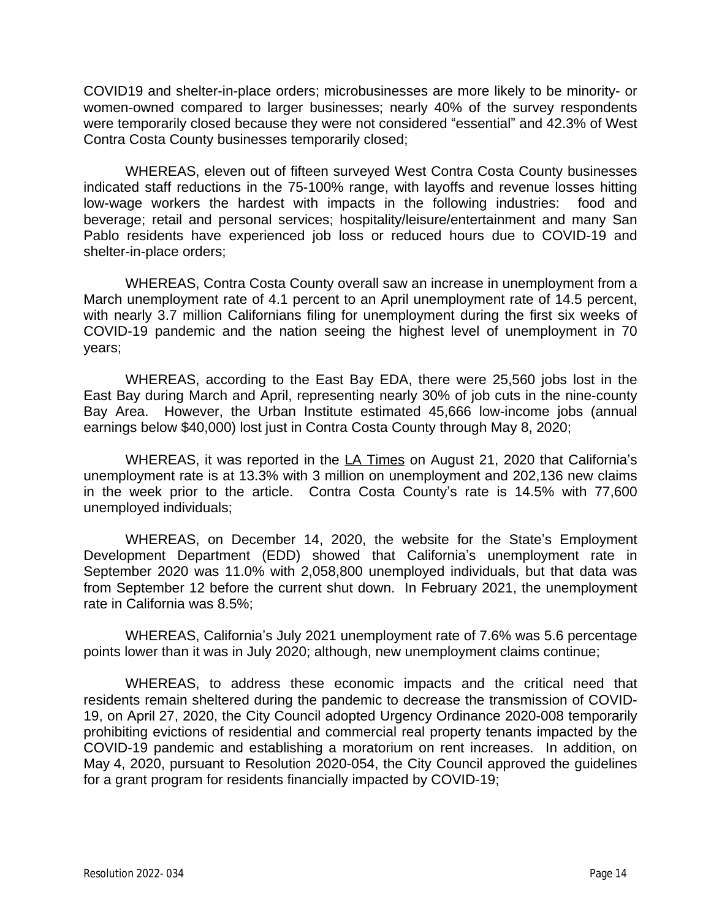COVID19 and shelter-in-place orders; microbusinesses are more likely to be minority- or women-owned compared to larger businesses; nearly 40% of the survey respondents were temporarily closed because they were not considered "essential" and 42.3% of West Contra Costa County businesses temporarily closed;

WHEREAS, eleven out of fifteen surveyed West Contra Costa County businesses indicated staff reductions in the 75-100% range, with layoffs and revenue losses hitting low-wage workers the hardest with impacts in the following industries: food and beverage; retail and personal services; hospitality/leisure/entertainment and many San Pablo residents have experienced job loss or reduced hours due to COVID-19 and shelter-in-place orders;

WHEREAS, Contra Costa County overall saw an increase in unemployment from a March unemployment rate of 4.1 percent to an April unemployment rate of 14.5 percent, with nearly 3.7 million Californians filing for unemployment during the first six weeks of COVID-19 pandemic and the nation seeing the highest level of unemployment in 70 years;

WHEREAS, according to the East Bay EDA, there were 25,560 jobs lost in the East Bay during March and April, representing nearly 30% of job cuts in the nine-county Bay Area. However, the Urban Institute estimated 45,666 low-income jobs (annual earnings below \$40,000) lost just in Contra Costa County through May 8, 2020;

WHEREAS, it was reported in the LA Times on August 21, 2020 that California's unemployment rate is at 13.3% with 3 million on unemployment and 202,136 new claims in the week prior to the article. Contra Costa County's rate is 14.5% with 77,600 unemployed individuals;

WHEREAS, on December 14, 2020, the website for the State's Employment Development Department (EDD) showed that California's unemployment rate in September 2020 was 11.0% with 2,058,800 unemployed individuals, but that data was from September 12 before the current shut down. In February 2021, the unemployment rate in California was 8.5%;

WHEREAS, California's July 2021 unemployment rate of 7.6% was 5.6 percentage points lower than it was in July 2020; although, new unemployment claims continue;

WHEREAS, to address these economic impacts and the critical need that residents remain sheltered during the pandemic to decrease the transmission of COVID-19, on April 27, 2020, the City Council adopted Urgency Ordinance 2020-008 temporarily prohibiting evictions of residential and commercial real property tenants impacted by the COVID-19 pandemic and establishing a moratorium on rent increases. In addition, on May 4, 2020, pursuant to Resolution 2020-054, the City Council approved the guidelines for a grant program for residents financially impacted by COVID-19;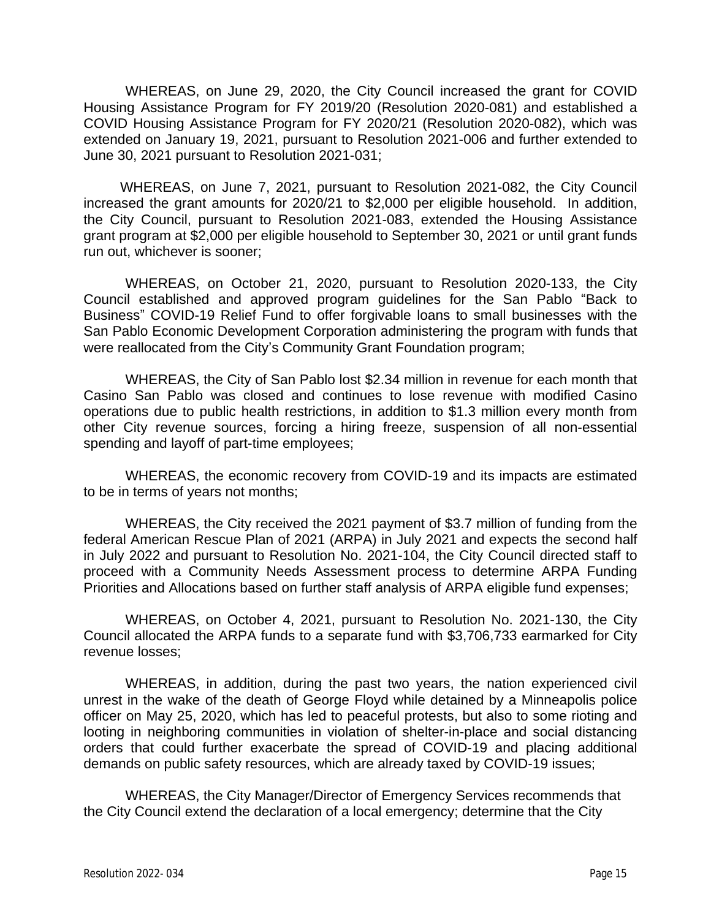WHEREAS, on June 29, 2020, the City Council increased the grant for COVID Housing Assistance Program for FY 2019/20 (Resolution 2020-081) and established a COVID Housing Assistance Program for FY 2020/21 (Resolution 2020-082), which was extended on January 19, 2021, pursuant to Resolution 2021-006 and further extended to June 30, 2021 pursuant to Resolution 2021-031;

WHEREAS, on June 7, 2021, pursuant to Resolution 2021-082, the City Council increased the grant amounts for 2020/21 to \$2,000 per eligible household. In addition, the City Council, pursuant to Resolution 2021-083, extended the Housing Assistance grant program at \$2,000 per eligible household to September 30, 2021 or until grant funds run out, whichever is sooner;

WHEREAS, on October 21, 2020, pursuant to Resolution 2020-133, the City Council established and approved program guidelines for the San Pablo "Back to Business" COVID-19 Relief Fund to offer forgivable loans to small businesses with the San Pablo Economic Development Corporation administering the program with funds that were reallocated from the City's Community Grant Foundation program;

WHEREAS, the City of San Pablo lost \$2.34 million in revenue for each month that Casino San Pablo was closed and continues to lose revenue with modified Casino operations due to public health restrictions, in addition to \$1.3 million every month from other City revenue sources, forcing a hiring freeze, suspension of all non-essential spending and layoff of part-time employees;

WHEREAS, the economic recovery from COVID-19 and its impacts are estimated to be in terms of years not months;

WHEREAS, the City received the 2021 payment of \$3.7 million of funding from the federal American Rescue Plan of 2021 (ARPA) in July 2021 and expects the second half in July 2022 and pursuant to Resolution No. 2021-104, the City Council directed staff to proceed with a Community Needs Assessment process to determine ARPA Funding Priorities and Allocations based on further staff analysis of ARPA eligible fund expenses;

WHEREAS, on October 4, 2021, pursuant to Resolution No. 2021-130, the City Council allocated the ARPA funds to a separate fund with \$3,706,733 earmarked for City revenue losses;

WHEREAS, in addition, during the past two years, the nation experienced civil unrest in the wake of the death of George Floyd while detained by a Minneapolis police officer on May 25, 2020, which has led to peaceful protests, but also to some rioting and looting in neighboring communities in violation of shelter-in-place and social distancing orders that could further exacerbate the spread of COVID-19 and placing additional demands on public safety resources, which are already taxed by COVID-19 issues;

WHEREAS, the City Manager/Director of Emergency Services recommends that the City Council extend the declaration of a local emergency; determine that the City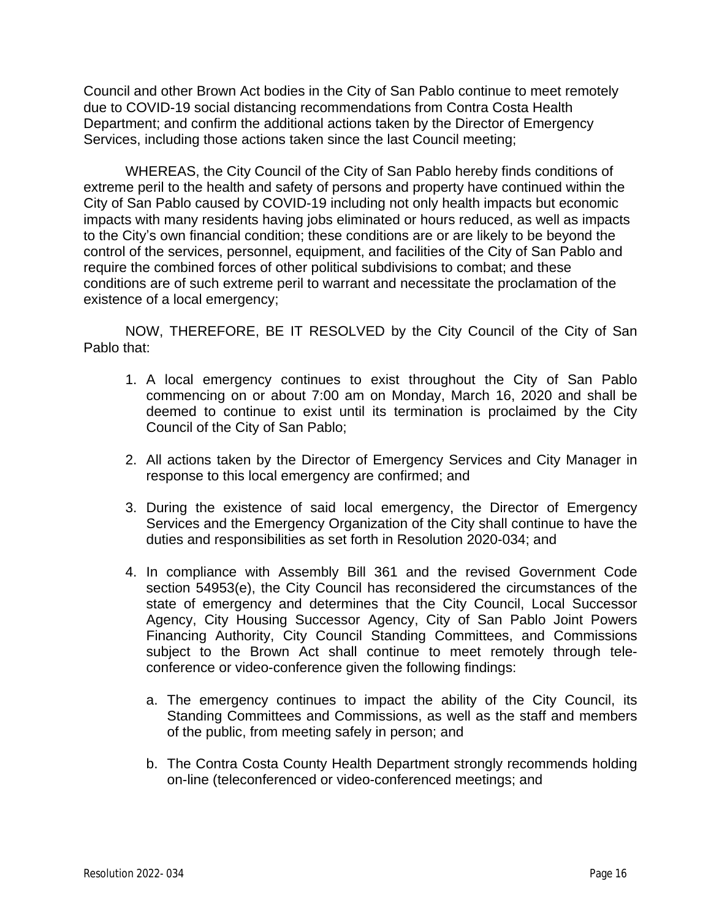Council and other Brown Act bodies in the City of San Pablo continue to meet remotely due to COVID-19 social distancing recommendations from Contra Costa Health Department; and confirm the additional actions taken by the Director of Emergency Services, including those actions taken since the last Council meeting;

WHEREAS, the City Council of the City of San Pablo hereby finds conditions of extreme peril to the health and safety of persons and property have continued within the City of San Pablo caused by COVID-19 including not only health impacts but economic impacts with many residents having jobs eliminated or hours reduced, as well as impacts to the City's own financial condition; these conditions are or are likely to be beyond the control of the services, personnel, equipment, and facilities of the City of San Pablo and require the combined forces of other political subdivisions to combat; and these conditions are of such extreme peril to warrant and necessitate the proclamation of the existence of a local emergency;

NOW, THEREFORE, BE IT RESOLVED by the City Council of the City of San Pablo that:

- 1. A local emergency continues to exist throughout the City of San Pablo commencing on or about 7:00 am on Monday, March 16, 2020 and shall be deemed to continue to exist until its termination is proclaimed by the City Council of the City of San Pablo;
- 2. All actions taken by the Director of Emergency Services and City Manager in response to this local emergency are confirmed; and
- 3. During the existence of said local emergency, the Director of Emergency Services and the Emergency Organization of the City shall continue to have the duties and responsibilities as set forth in Resolution 2020-034; and
- 4. In compliance with Assembly Bill 361 and the revised Government Code section 54953(e), the City Council has reconsidered the circumstances of the state of emergency and determines that the City Council, Local Successor Agency, City Housing Successor Agency, City of San Pablo Joint Powers Financing Authority, City Council Standing Committees, and Commissions subject to the Brown Act shall continue to meet remotely through teleconference or video-conference given the following findings:
	- a. The emergency continues to impact the ability of the City Council, its Standing Committees and Commissions, as well as the staff and members of the public, from meeting safely in person; and
	- b. The Contra Costa County Health Department strongly recommends holding on-line (teleconferenced or video-conferenced meetings; and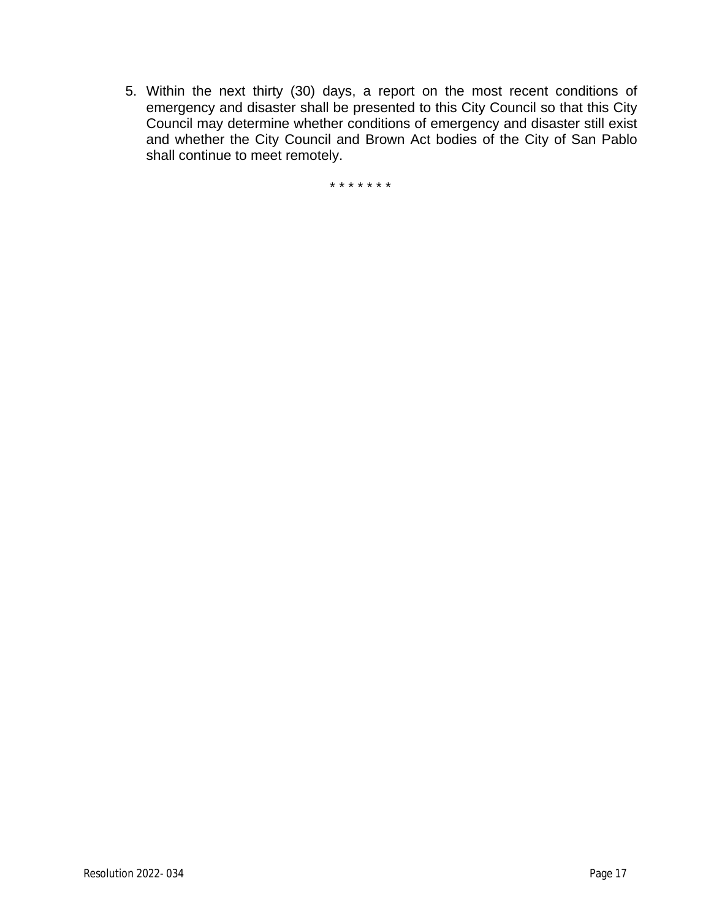5. Within the next thirty (30) days, a report on the most recent conditions of emergency and disaster shall be presented to this City Council so that this City Council may determine whether conditions of emergency and disaster still exist and whether the City Council and Brown Act bodies of the City of San Pablo shall continue to meet remotely.

\* \* \* \* \* \* \*